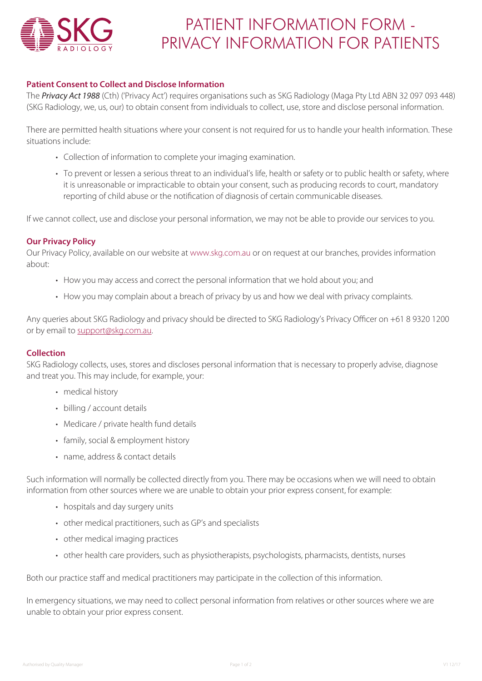

# PATIENT INFORMATION FORM - PRIVACY INFORMATION FOR PATIENTS

# **Patient Consent to Collect and Disclose Information**

The *Privacy Act 1988* (Cth) ('Privacy Act') requires organisations such as SKG Radiology (Maga Pty Ltd ABN 32 097 093 448) (SKG Radiology, we, us, our) to obtain consent from individuals to collect, use, store and disclose personal information.

There are permitted health situations where your consent is not required for us to handle your health information. These situations include:

- Collection of information to complete your imaging examination.
- To prevent or lessen a serious threat to an individual's life, health or safety or to public health or safety, where it is unreasonable or impracticable to obtain your consent, such as producing records to court, mandatory reporting of child abuse or the notification of diagnosis of certain communicable diseases.

If we cannot collect, use and disclose your personal information, we may not be able to provide our services to you.

# **Our Privacy Policy**

Our Privacy Policy, available on our website at www.skg.com.au or on request at our branches, provides information about:

- How you may access and correct the personal information that we hold about you; and
- How you may complain about a breach of privacy by us and how we deal with privacy complaints.

Any queries about SKG Radiology and privacy should be directed to SKG Radiology's Privacy Officer on +61 8 9320 1200 or by email to support@skg.com.au.

# **Collection**

SKG Radiology collects, uses, stores and discloses personal information that is necessary to properly advise, diagnose and treat you. This may include, for example, your:

- medical history
- billing / account details
- Medicare / private health fund details
- family, social & employment history
- name, address & contact details

Such information will normally be collected directly from you. There may be occasions when we will need to obtain information from other sources where we are unable to obtain your prior express consent, for example:

- hospitals and day surgery units
- other medical practitioners, such as GP's and specialists
- other medical imaging practices
- other health care providers, such as physiotherapists, psychologists, pharmacists, dentists, nurses

Both our practice staff and medical practitioners may participate in the collection of this information.

In emergency situations, we may need to collect personal information from relatives or other sources where we are unable to obtain your prior express consent.